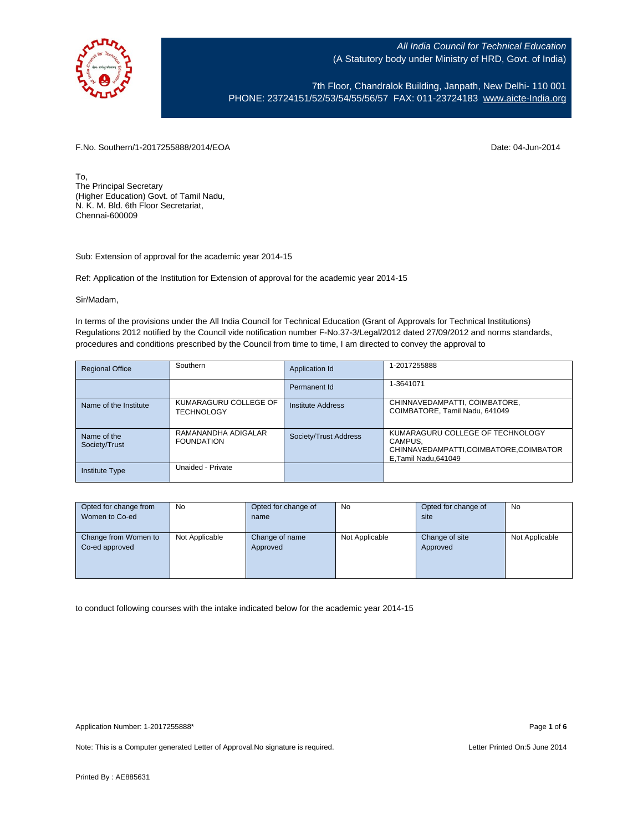

7th Floor, Chandralok Building, Janpath, New Delhi- 110 001 PHONE: 23724151/52/53/54/55/56/57 FAX: 011-23724183 [www.aicte-India.org](http://www.aicte-india.org/)

F.No. Southern/1-2017255888/2014/EOA Date: 04-Jun-2014

To, The Principal Secretary (Higher Education) Govt. of Tamil Nadu, N. K. M. Bld. 6th Floor Secretariat, Chennai-600009

Sub: Extension of approval for the academic year 2014-15

Ref: Application of the Institution for Extension of approval for the academic year 2014-15

Sir/Madam,

In terms of the provisions under the All India Council for Technical Education (Grant of Approvals for Technical Institutions) Regulations 2012 notified by the Council vide notification number F-No.37-3/Legal/2012 dated 27/09/2012 and norms standards, procedures and conditions prescribed by the Council from time to time, I am directed to convey the approval to

| <b>Regional Office</b>       | Southern                                   | Application Id           | 1-2017255888                                                                                                  |
|------------------------------|--------------------------------------------|--------------------------|---------------------------------------------------------------------------------------------------------------|
|                              |                                            | Permanent Id             | 1-3641071                                                                                                     |
| Name of the Institute        | KUMARAGURU COLLEGE OF<br><b>TECHNOLOGY</b> | <b>Institute Address</b> | CHINNAVEDAMPATTI, COIMBATORE,<br>COIMBATORE, Tamil Nadu, 641049                                               |
| Name of the<br>Society/Trust | RAMANANDHA ADIGALAR<br><b>FOUNDATION</b>   | Society/Trust Address    | KUMARAGURU COLLEGE OF TECHNOLOGY<br>CAMPUS,<br>CHINNAVEDAMPATTI,COIMBATORE,COIMBATOR<br>E, Tamil Nadu, 641049 |
| <b>Institute Type</b>        | Unaided - Private                          |                          |                                                                                                               |

| Opted for change from | <b>No</b>      | Opted for change of | No             | Opted for change of | <b>No</b>      |
|-----------------------|----------------|---------------------|----------------|---------------------|----------------|
| Women to Co-ed        |                | name                |                | site                |                |
|                       |                |                     |                |                     |                |
| Change from Women to  | Not Applicable | Change of name      | Not Applicable | Change of site      | Not Applicable |
| Co-ed approved        |                | Approved            |                | Approved            |                |
|                       |                |                     |                |                     |                |
|                       |                |                     |                |                     |                |
|                       |                |                     |                |                     |                |

to conduct following courses with the intake indicated below for the academic year 2014-15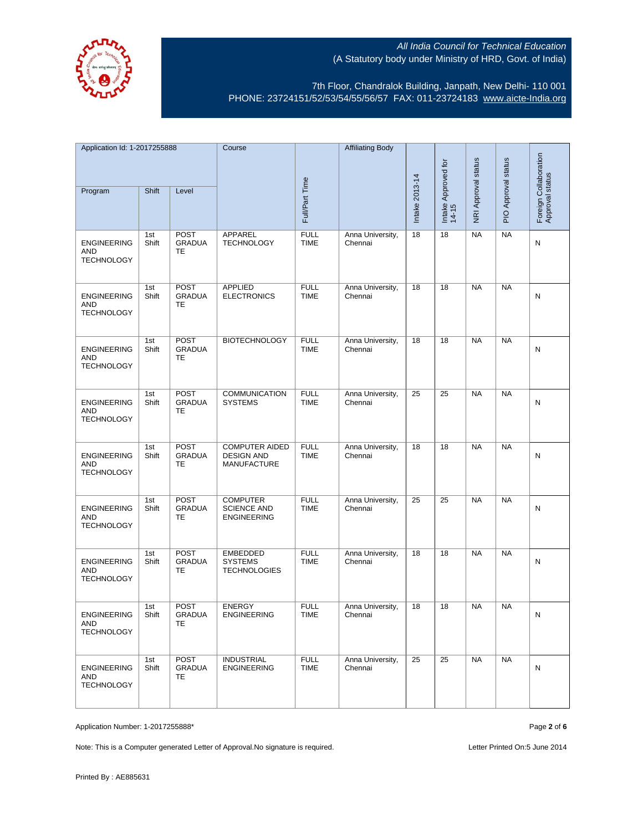



7th Floor, Chandralok Building, Janpath, New Delhi- 110 001 PHONE: 23724151/52/53/54/55/56/57 FAX: 011-23724183 [www.aicte-India.org](http://www.aicte-india.org/)

| Application Id: 1-2017255888                          |              | Course                                    |                                                                  | <b>Affiliating Body</b>    |                             |                |                              |                     |                     |                                          |
|-------------------------------------------------------|--------------|-------------------------------------------|------------------------------------------------------------------|----------------------------|-----------------------------|----------------|------------------------------|---------------------|---------------------|------------------------------------------|
| Program                                               | Shift        | Level                                     |                                                                  | Full/Part Time             |                             | Intake 2013-14 | Intake Approved for<br>14-15 | NRI Approval status | PIO Approval status | Foreign Collaboration<br>Approval status |
| <b>ENGINEERING</b><br>AND<br><b>TECHNOLOGY</b>        | 1st<br>Shift | <b>POST</b><br><b>GRADUA</b><br>TE        | APPAREL<br><b>TECHNOLOGY</b>                                     | <b>FULL</b><br>TIME        | Anna University,<br>Chennai | 18             | 18                           | NA                  | <b>NA</b>           | N                                        |
| <b>ENGINEERING</b><br>AND<br><b>TECHNOLOGY</b>        | 1st<br>Shift | POST<br><b>GRADUA</b><br>TE               | <b>APPLIED</b><br><b>ELECTRONICS</b>                             | <b>FULL</b><br><b>TIME</b> | Anna University,<br>Chennai | 18             | 18                           | <b>NA</b>           | <b>NA</b>           | N                                        |
| <b>ENGINEERING</b><br>AND<br><b>TECHNOLOGY</b>        | 1st<br>Shift | POST<br><b>GRADUA</b><br>TE               | <b>BIOTECHNOLOGY</b>                                             | <b>FULL</b><br><b>TIME</b> | Anna University,<br>Chennai | 18             | 18                           | <b>NA</b>           | <b>NA</b>           | N                                        |
| <b>ENGINEERING</b><br><b>AND</b><br><b>TECHNOLOGY</b> | 1st<br>Shift | <b>POST</b><br><b>GRADUA</b><br><b>TE</b> | <b>COMMUNICATION</b><br><b>SYSTEMS</b>                           | <b>FULL</b><br><b>TIME</b> | Anna University,<br>Chennai | 25             | 25                           | <b>NA</b>           | <b>NA</b>           | N                                        |
| <b>ENGINEERING</b><br>AND<br><b>TECHNOLOGY</b>        | 1st<br>Shift | POST<br><b>GRADUA</b><br>TE               | <b>COMPUTER AIDED</b><br><b>DESIGN AND</b><br><b>MANUFACTURE</b> | <b>FULL</b><br><b>TIME</b> | Anna University,<br>Chennai | 18             | 18                           | <b>NA</b>           | <b>NA</b>           | N                                        |
| <b>ENGINEERING</b><br>AND<br><b>TECHNOLOGY</b>        | 1st<br>Shift | POST<br><b>GRADUA</b><br>TE               | <b>COMPUTER</b><br><b>SCIENCE AND</b><br><b>ENGINEERING</b>      | <b>FULL</b><br><b>TIME</b> | Anna University,<br>Chennai | 25             | 25                           | <b>NA</b>           | <b>NA</b>           | N                                        |
| <b>ENGINEERING</b><br>AND<br><b>TECHNOLOGY</b>        | 1st<br>Shift | POST<br><b>GRADUA</b><br>TE               | EMBEDDED<br><b>SYSTEMS</b><br><b>TECHNOLOGIES</b>                | <b>FULL</b><br><b>TIME</b> | Anna University,<br>Chennai | 18             | 18                           | <b>NA</b>           | <b>NA</b>           | N                                        |
| <b>ENGINEERING</b><br>AND<br><b>TECHNOLOGY</b>        | 1st<br>Shift | <b>POST</b><br>GRADUA<br><b>TE</b>        | <b>ENERGY</b><br><b>ENGINEERING</b>                              | <b>FULL</b><br><b>IIME</b> | Anna University,<br>Chennai | 18             | 18                           | <b>NA</b>           | <b>NA</b>           | N                                        |
| <b>ENGINEERING</b><br>AND<br><b>TECHNOLOGY</b>        | 1st<br>Shift | <b>POST</b><br><b>GRADUA</b><br>TE        | <b>INDUSTRIAL</b><br><b>ENGINEERING</b>                          | <b>FULL</b><br><b>TIME</b> | Anna University,<br>Chennai | 25             | 25                           | <b>NA</b>           | <b>NA</b>           | N                                        |

Application Number: 1-2017255888\* Page **2** of **6**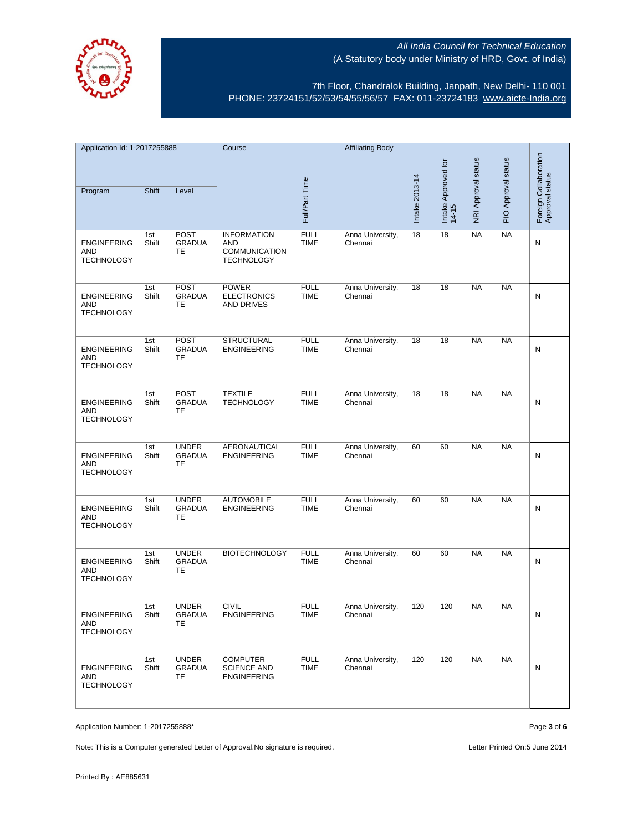

7th Floor, Chandralok Building, Janpath, New Delhi- 110 001 PHONE: 23724151/52/53/54/55/56/57 FAX: 011-23724183 [www.aicte-India.org](http://www.aicte-india.org/)

| Application Id: 1-2017255888                   |              | Course                                    |                                                                        | <b>Affiliating Body</b>    |                             |                |                              |                     |                     |                                          |
|------------------------------------------------|--------------|-------------------------------------------|------------------------------------------------------------------------|----------------------------|-----------------------------|----------------|------------------------------|---------------------|---------------------|------------------------------------------|
|                                                |              |                                           |                                                                        |                            |                             |                |                              |                     |                     |                                          |
| Program                                        | Shift        | Level                                     |                                                                        | Full/Part Time             |                             | Intake 2013-14 | Intake Approved for<br>14-15 | NRI Approval status | PIO Approval status | Foreign Collaboration<br>Approval status |
| <b>ENGINEERING</b><br>AND<br><b>TECHNOLOGY</b> | 1st<br>Shift | <b>POST</b><br><b>GRADUA</b><br><b>TE</b> | <b>INFORMATION</b><br>AND<br><b>COMMUNICATION</b><br><b>TECHNOLOGY</b> | <b>FULL</b><br><b>TIME</b> | Anna University,<br>Chennai | 18             | 18                           | NA                  | <b>NA</b>           | N                                        |
| <b>ENGINEERING</b><br>AND<br><b>TECHNOLOGY</b> | 1st<br>Shift | <b>POST</b><br><b>GRADUA</b><br>TE        | <b>POWER</b><br><b>ELECTRONICS</b><br><b>AND DRIVES</b>                | <b>FULL</b><br><b>TIME</b> | Anna University,<br>Chennai | 18             | 18                           | <b>NA</b>           | <b>NA</b>           | N                                        |
| <b>ENGINEERING</b><br>AND<br><b>TECHNOLOGY</b> | 1st<br>Shift | <b>POST</b><br><b>GRADUA</b><br>TE        | <b>STRUCTURAL</b><br><b>ENGINEERING</b>                                | <b>FULL</b><br><b>TIME</b> | Anna University,<br>Chennai | 18             | 18                           | <b>NA</b>           | <b>NA</b>           | N                                        |
| <b>ENGINEERING</b><br>AND<br><b>TECHNOLOGY</b> | 1st<br>Shift | <b>POST</b><br><b>GRADUA</b><br>TE        | <b>TEXTILE</b><br><b>TECHNOLOGY</b>                                    | <b>FULL</b><br><b>TIME</b> | Anna University,<br>Chennai | 18             | 18                           | <b>NA</b>           | <b>NA</b>           | N                                        |
| <b>ENGINEERING</b><br>AND<br><b>TECHNOLOGY</b> | 1st<br>Shift | <b>UNDER</b><br><b>GRADUA</b><br>TE       | <b>AERONAUTICAL</b><br><b>ENGINEERING</b>                              | <b>FULL</b><br><b>TIME</b> | Anna University,<br>Chennai | 60             | 60                           | <b>NA</b>           | <b>NA</b>           | N                                        |
| <b>ENGINEERING</b><br>AND<br><b>TECHNOLOGY</b> | 1st<br>Shift | <b>UNDER</b><br><b>GRADUA</b><br>TE       | <b>AUTOMOBILE</b><br><b>ENGINEERING</b>                                | <b>FULL</b><br><b>TIME</b> | Anna University,<br>Chennai | 60             | 60                           | <b>NA</b>           | <b>NA</b>           | N                                        |
| <b>ENGINEERING</b><br>AND<br><b>TECHNOLOGY</b> | 1st<br>Shift | <b>UNDER</b><br><b>GRADUA</b><br>TE       | <b>BIOTECHNOLOGY</b>                                                   | <b>FULL</b><br><b>TIME</b> | Anna University,<br>Chennai | 60             | 60                           | <b>NA</b>           | <b>NA</b>           | N                                        |
| <b>ENGINEERING</b><br>AND<br><b>TECHNOLOGY</b> | 1st<br>Shift | <b>UNDER</b><br>GRADUA<br>TE              | <b>CIVIL</b><br><b>ENGINEERING</b>                                     | <b>FULL</b><br>TIME        | Anna University,<br>Chennai | 120            | 120                          | <b>NA</b>           | <b>NA</b>           | N                                        |
| <b>ENGINEERING</b><br>AND<br><b>TECHNOLOGY</b> | 1st<br>Shift | <b>UNDER</b><br><b>GRADUA</b><br>TE.      | <b>COMPUTER</b><br><b>SCIENCE AND</b><br><b>ENGINEERING</b>            | <b>FULL</b><br><b>TIME</b> | Anna University,<br>Chennai | 120            | 120                          | <b>NA</b>           | <b>NA</b>           | N                                        |

Application Number: 1-2017255888\* Page **3** of **6**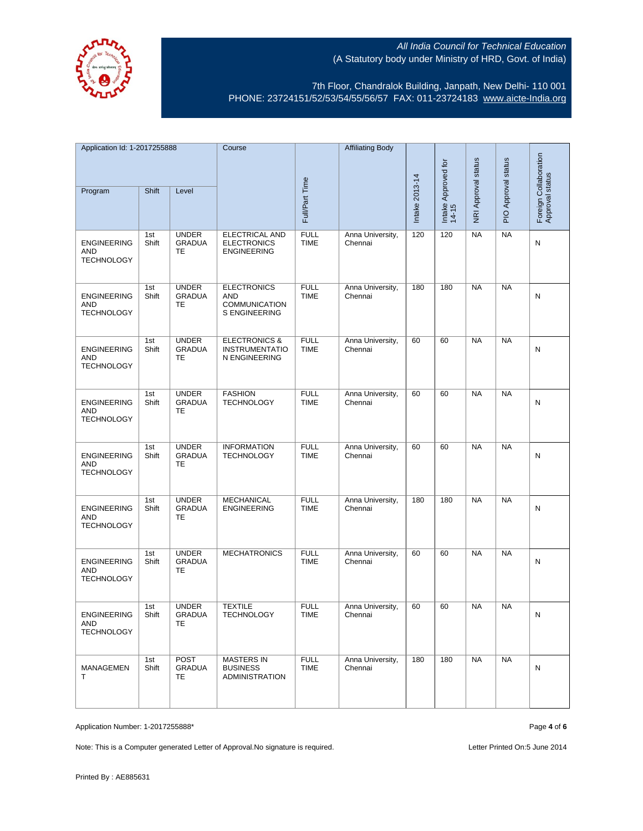

7th Floor, Chandralok Building, Janpath, New Delhi- 110 001 PHONE: 23724151/52/53/54/55/56/57 FAX: 011-23724183 [www.aicte-India.org](http://www.aicte-india.org/)

| Application Id: 1-2017255888                          |              | Course                                     |                                                                    | <b>Affiliating Body</b>    |                             |                |                              |                     |                     |                                          |
|-------------------------------------------------------|--------------|--------------------------------------------|--------------------------------------------------------------------|----------------------------|-----------------------------|----------------|------------------------------|---------------------|---------------------|------------------------------------------|
| Program                                               | Shift        | Level                                      |                                                                    |                            |                             |                | Intake Approved for<br>14-15 | NRI Approval status | PIO Approval status | Foreign Collaboration<br>Approval status |
|                                                       |              |                                            |                                                                    | Full/Part Time             |                             | Intake 2013-14 |                              |                     |                     |                                          |
| <b>ENGINEERING</b><br>AND<br><b>TECHNOLOGY</b>        | 1st<br>Shift | <b>UNDER</b><br><b>GRADUA</b><br>TE        | ELECTRICAL AND<br><b>ELECTRONICS</b><br><b>ENGINEERING</b>         | <b>FULL</b><br><b>TIME</b> | Anna University,<br>Chennai | 120            | 120                          | <b>NA</b>           | <b>NA</b>           | Ν                                        |
| <b>ENGINEERING</b><br>AND<br><b>TECHNOLOGY</b>        | 1st<br>Shift | <b>UNDER</b><br><b>GRADUA</b><br>TE        | <b>ELECTRONICS</b><br><b>AND</b><br>COMMUNICATION<br>S ENGINEERING | <b>FULL</b><br><b>TIME</b> | Anna University,<br>Chennai | 180            | 180                          | <b>NA</b>           | <b>NA</b>           | N                                        |
| <b>ENGINEERING</b><br><b>AND</b><br><b>TECHNOLOGY</b> | 1st<br>Shift | <b>UNDER</b><br><b>GRADUA</b><br><b>TE</b> | <b>ELECTRONICS &amp;</b><br><b>INSTRUMENTATIO</b><br>N ENGINEERING | <b>FULL</b><br><b>TIME</b> | Anna University,<br>Chennai | 60             | 60                           | <b>NA</b>           | <b>NA</b>           | N                                        |
| <b>ENGINEERING</b><br>AND<br><b>TECHNOLOGY</b>        | 1st<br>Shift | <b>UNDER</b><br><b>GRADUA</b><br>TE        | <b>FASHION</b><br><b>TECHNOLOGY</b>                                | <b>FULL</b><br><b>TIME</b> | Anna University,<br>Chennai | 60             | 60                           | <b>NA</b>           | <b>NA</b>           | Ν                                        |
| <b>ENGINEERING</b><br>AND<br><b>TECHNOLOGY</b>        | 1st<br>Shift | <b>UNDER</b><br><b>GRADUA</b><br>TE        | <b>INFORMATION</b><br><b>TECHNOLOGY</b>                            | <b>FULL</b><br><b>TIME</b> | Anna University,<br>Chennai | 60             | 60                           | <b>NA</b>           | <b>NA</b>           | N                                        |
| <b>ENGINEERING</b><br>AND<br><b>TECHNOLOGY</b>        | 1st<br>Shift | <b>UNDER</b><br><b>GRADUA</b><br>TE        | <b>MECHANICAL</b><br><b>ENGINEERING</b>                            | <b>FULL</b><br><b>TIME</b> | Anna University,<br>Chennai | 180            | 180                          | <b>NA</b>           | <b>NA</b>           | N                                        |
| <b>ENGINEERING</b><br>AND<br><b>TECHNOLOGY</b>        | 1st<br>Shift | <b>UNDER</b><br><b>GRADUA</b><br>TE        | <b>MECHATRONICS</b>                                                | <b>FULL</b><br><b>TIME</b> | Anna University,<br>Chennai | 60             | 60                           | <b>NA</b>           | <b>NA</b>           | N                                        |
| <b>ENGINEERING</b><br>AND<br><b>TECHNOLOGY</b>        | 1st<br>Shift | <b>UNDER</b><br><b>GRADUA</b><br>TE        | <b>TEXTILE</b><br>TECHNOLOGY                                       | <b>FULL</b><br>TIME        | Anna University,<br>Chennai | 60             | 60                           | <b>NA</b>           | <b>NA</b>           | N                                        |
| MANAGEMEN<br>т                                        | 1st<br>Shift | POST<br><b>GRADUA</b><br>TE.               | <b>MASTERS IN</b><br><b>BUSINESS</b><br><b>ADMINISTRATION</b>      | <b>FULL</b><br><b>TIME</b> | Anna University,<br>Chennai | 180            | 180                          | <b>NA</b>           | <b>NA</b>           | N                                        |

Application Number: 1-2017255888\* Page **4** of **6**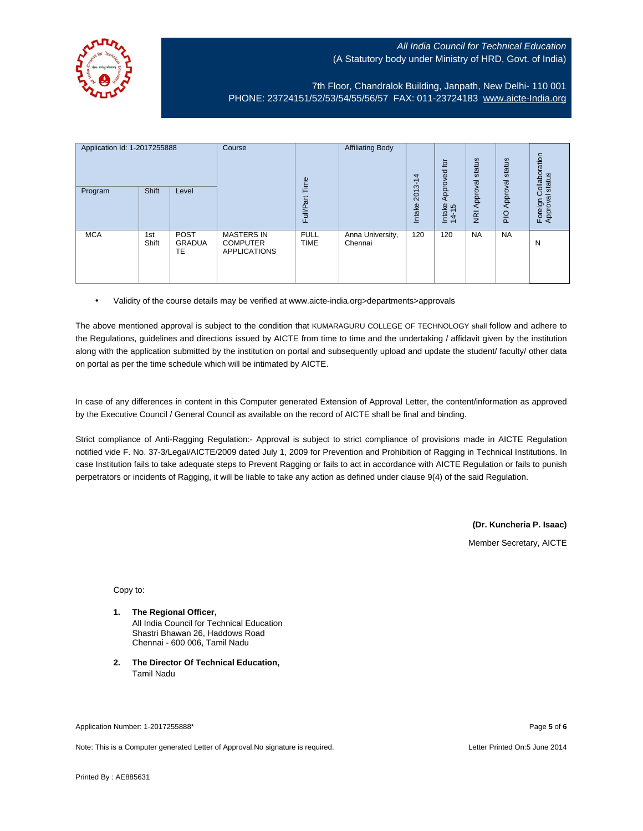

7th Floor, Chandralok Building, Janpath, New Delhi- 110 001 PHONE: 23724151/52/53/54/55/56/57 FAX: 011-23724183 [www.aicte-India.org](http://www.aicte-india.org/)

| Application Id: 1-2017255888<br>Program | Shift        | Level                              | Course                                                      | Time<br>Full/Part          | <b>Affiliating Body</b>     | 4<br>7<br>2013-<br>Intake | ʻp.<br>ಠ<br>Approve<br>Intake<br>14-15 | status<br>Approval<br>$\overline{g}$ | status<br>Approval<br>$\frac{1}{2}$ | ollaboration<br>status<br>$\circ$<br>Foreign C<br>Approval |
|-----------------------------------------|--------------|------------------------------------|-------------------------------------------------------------|----------------------------|-----------------------------|---------------------------|----------------------------------------|--------------------------------------|-------------------------------------|------------------------------------------------------------|
| <b>MCA</b>                              | 1st<br>Shift | <b>POST</b><br><b>GRADUA</b><br>TE | <b>MASTERS IN</b><br><b>COMPUTER</b><br><b>APPLICATIONS</b> | <b>FULL</b><br><b>TIME</b> | Anna University,<br>Chennai | 120                       | 120                                    | <b>NA</b>                            | <b>NA</b>                           | N                                                          |

• Validity of the course details may be verified at www.aicte-india.org>departments>approvals

The above mentioned approval is subject to the condition that KUMARAGURU COLLEGE OF TECHNOLOGY shall follow and adhere to the Regulations, guidelines and directions issued by AICTE from time to time and the undertaking / affidavit given by the institution along with the application submitted by the institution on portal and subsequently upload and update the student/ faculty/ other data on portal as per the time schedule which will be intimated by AICTE.

In case of any differences in content in this Computer generated Extension of Approval Letter, the content/information as approved by the Executive Council / General Council as available on the record of AICTE shall be final and binding.

Strict compliance of Anti-Ragging Regulation:- Approval is subject to strict compliance of provisions made in AICTE Regulation notified vide F. No. 37-3/Legal/AICTE/2009 dated July 1, 2009 for Prevention and Prohibition of Ragging in Technical Institutions. In case Institution fails to take adequate steps to Prevent Ragging or fails to act in accordance with AICTE Regulation or fails to punish perpetrators or incidents of Ragging, it will be liable to take any action as defined under clause 9(4) of the said Regulation.

> **(Dr. Kuncheria P. Isaac)** Member Secretary, AICTE

Copy to:

- **1. The Regional Officer,** All India Council for Technical Education Shastri Bhawan 26, Haddows Road Chennai - 600 006, Tamil Nadu
- **2. The Director Of Technical Education,** Tamil Nadu

Application Number: 1-2017255888\* Page **5** of **6**